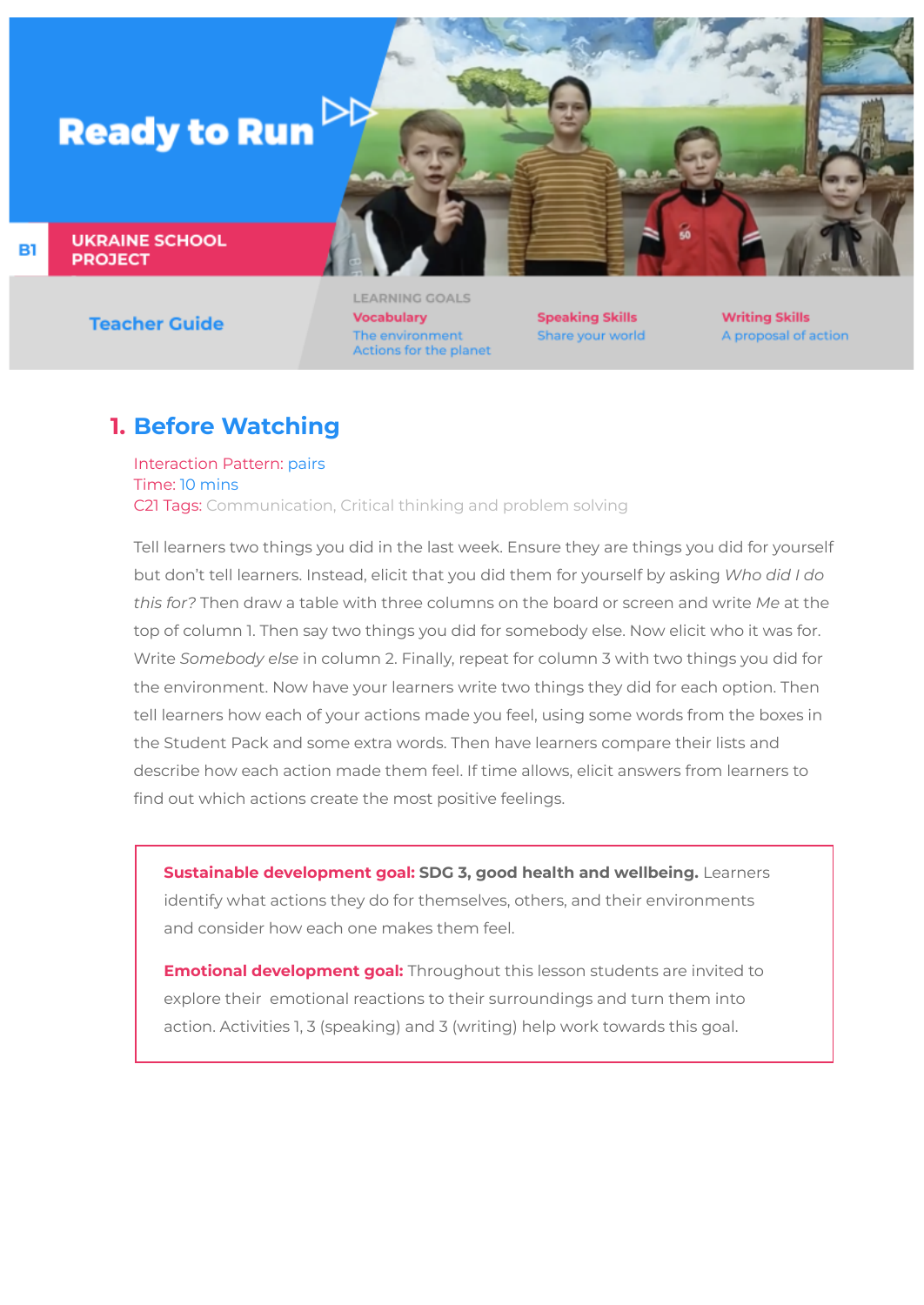

**UKRAINE SCHOOL PROJECT** 

**Teacher Guide** 

**LEARNING GOALS Vocabulary** The environment Actions for the planet

**Speaking Skills** Share your world **Writing Skills** A proposal of action

## **1. Before Watching**

Interaction Pattern: pairs Time: 10 mins C21 Tags: Communication, Critical thinking and problem solving

Tell learners two things you did in the last week. Ensure they are things you did for yourself but don't tell learners. Instead, elicit that you did them for yourself by asking *Who did I do this for?* Then draw a table with three columns on the board or screen and write *Me* at the top of column 1. Then say two things you did for somebody else. Now elicit who it was for. Write *Somebody else* in column 2. Finally, repeat for column 3 with two things you did for the environment. Now have your learners write two things they did for each option. Then tell learners how each of your actions made you feel, using some words from the boxes in the Student Pack and some extra words. Then have learners compare their lists and describe how each action made them feel. If time allows, elicit answers from learners to find out which actions create the most positive feelings.

**Sustainable development goal: SDG 3, good health and wellbeing.** Learners identify what actions they do for themselves, others, and their environments and consider how each one makes them feel.

**Emotional development goal:** Throughout this lesson students are invited to explore their emotional reactions to their surroundings and turn them into action. Activities 1, 3 (speaking) and 3 (writing) help work towards this goal.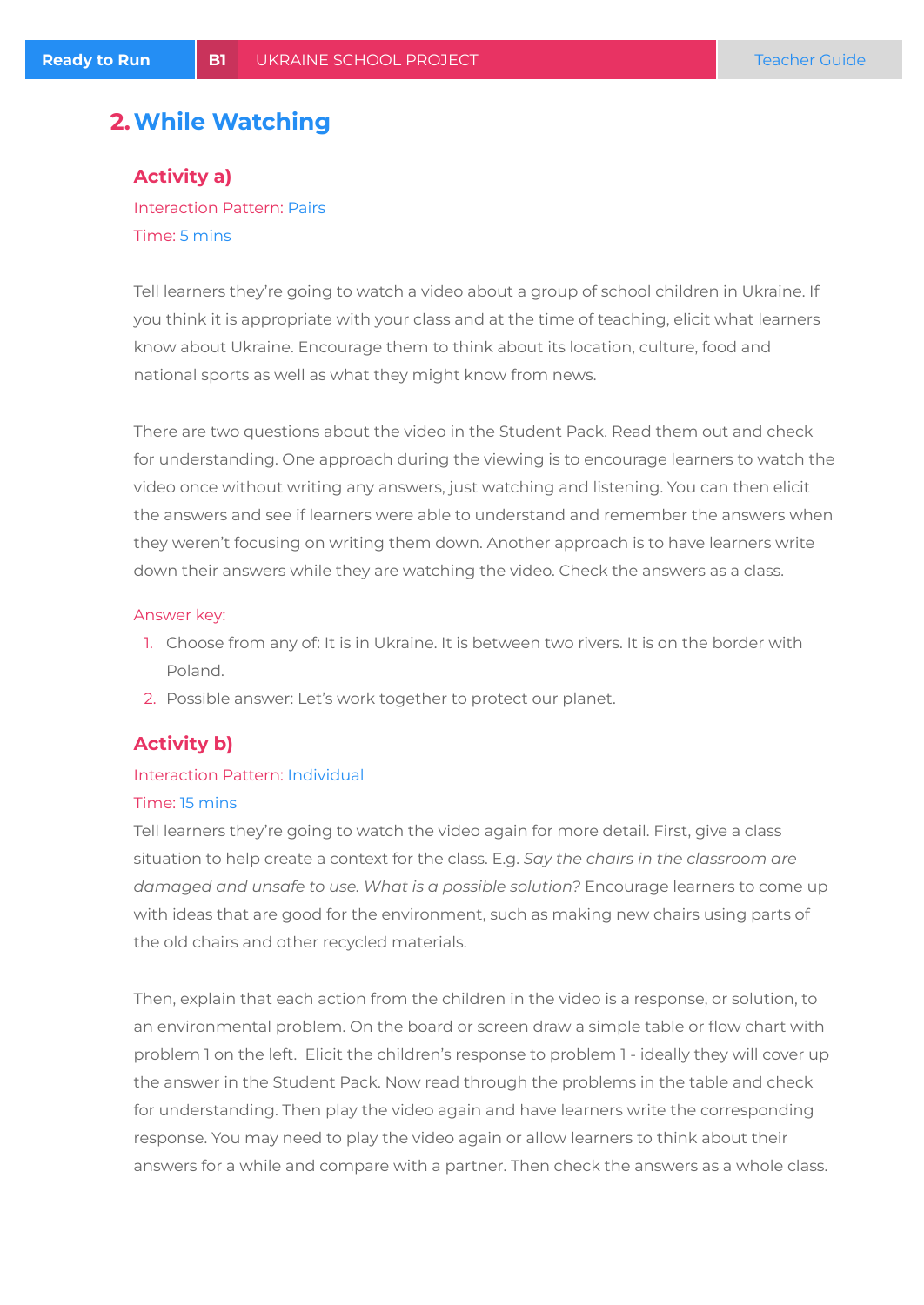### **2.While Watching**

### **Activity a)**

Interaction Pattern: Pairs Time: 5 mins

Tell learners they're going to watch a video about a group of school children in Ukraine. If you think it is appropriate with your class and at the time of teaching, elicit what learners know about Ukraine. Encourage them to think about its location, culture, food and national sports as well as what they might know from news.

There are two questions about the video in the Student Pack. Read them out and check for understanding. One approach during the viewing is to encourage learners to watch the video once without writing any answers, just watching and listening. You can then elicit the answers and see if learners were able to understand and remember the answers when they weren't focusing on writing them down. Another approach is to have learners write down their answers while they are watching the video. Check the answers as a class.

#### Answer key:

- 1. Choose from any of: It is in Ukraine. It is between two rivers. It is on the border with Poland.
- 2. Possible answer: Let's work together to protect our planet.

### **Activity b)**

### Interaction Pattern: Individual Time: 15 mins

Tell learners they're going to watch the video again for more detail. First, give a class situation to help create a context for the class. E.g. *Say the chairs in the classroom are damaged and unsafe to use. What is a possible solution?* Encourage learners to come up with ideas that are good for the environment, such as making new chairs using parts of the old chairs and other recycled materials.

Then, explain that each action from the children in the video is a response, or solution, to an environmental problem. On the board or screen draw a simple table or flow chart with problem 1 on the left. Elicit the children's response to problem 1 - ideally they will cover up the answer in the Student Pack. Now read through the problems in the table and check for understanding. Then play the video again and have learners write the corresponding response. You may need to play the video again or allow learners to think about their answers for a while and compare with a partner. Then check the answers as a whole class.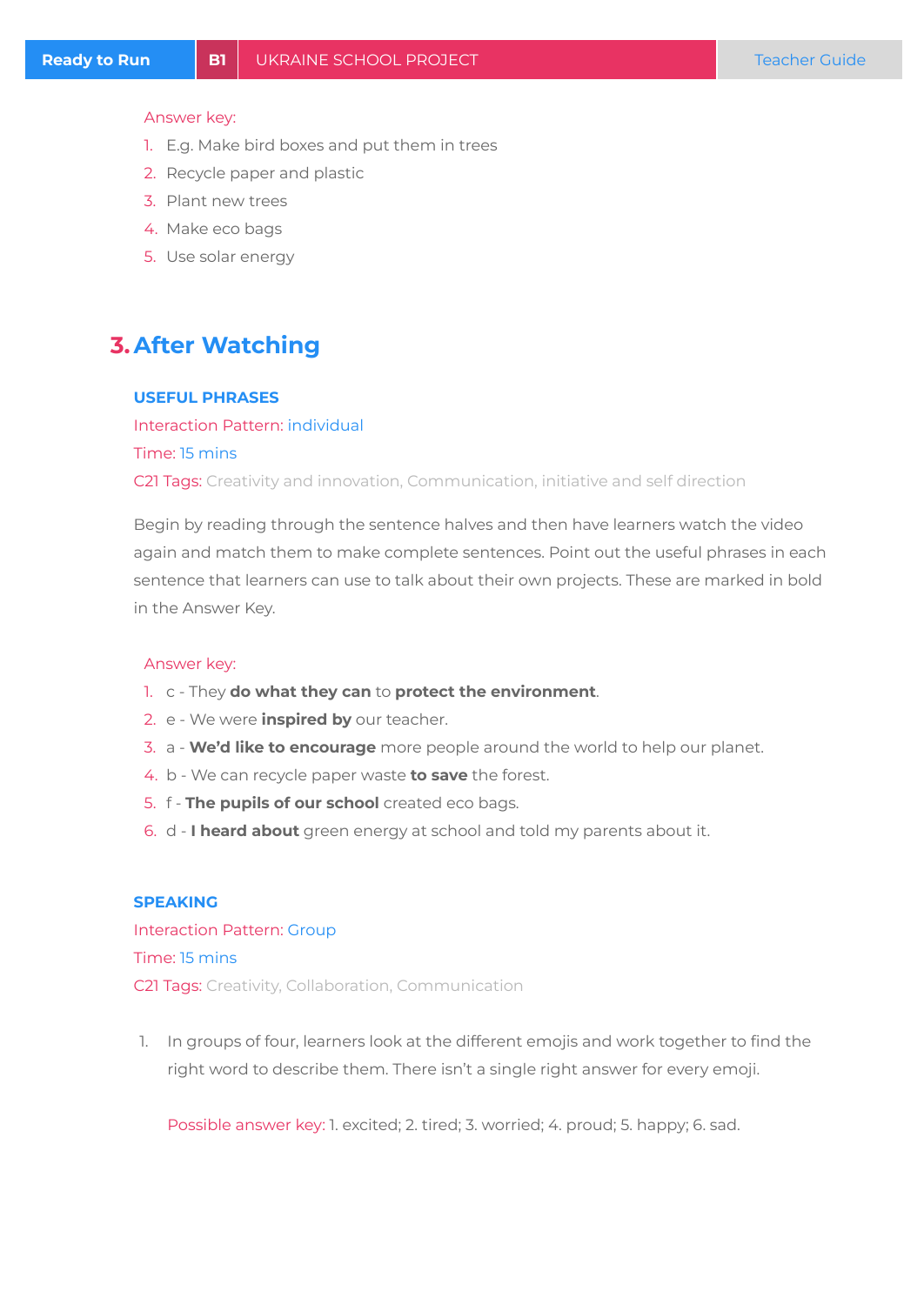#### Answer key:

- 1. E.g. Make bird boxes and put them in trees
- 2. Recycle paper and plastic
- 3. Plant new trees
- 4. Make eco bags
- 5. Use solar energy

## **3.After Watching**

#### **USEFUL PHRASES**

Interaction Pattern: individual Time: 15 mins C21 Tags: Creativity and innovation, Communication, initiative and self direction

Begin by reading through the sentence halves and then have learners watch the video again and match them to make complete sentences. Point out the useful phrases in each sentence that learners can use to talk about their own projects. These are marked in bold in the Answer Key.

#### Answer key:

- 1. c They **do what they can** to **protect the environment**.
- 2. e We were **inspired by** our teacher.
- 3. a **We'd like to encourage** more people around the world to help our planet.
- 4. b We can recycle paper waste **to save** the forest.
- 5. f **The pupils of our school** created eco bags.
- 6. d **I heard about** green energy at school and told my parents about it.

#### **SPEAKING**

Interaction Pattern: Group Time: 15 mins C21 Tags: Creativity, Collaboration, Communication

1. In groups of four, learners look at the different emojis and work together to find the right word to describe them. There isn't a single right answer for every emoji.

Possible answer key: 1. excited; 2. tired; 3. worried; 4. proud; 5. happy; 6. sad.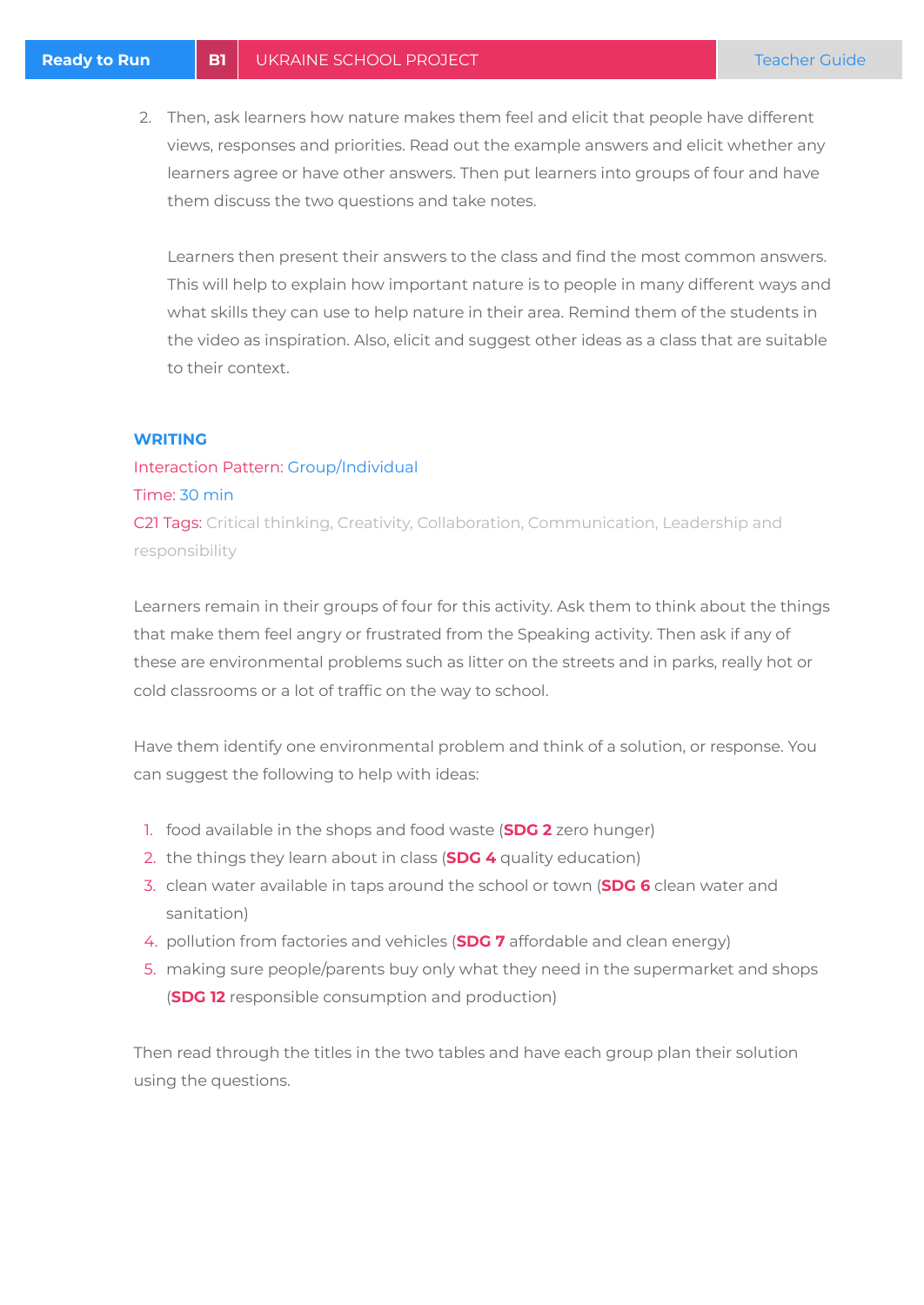2. Then, ask learners how nature makes them feel and elicit that people have different views, responses and priorities. Read out the example answers and elicit whether any learners agree or have other answers. Then put learners into groups of four and have them discuss the two questions and take notes.

Learners then present their answers to the class and find the most common answers. This will help to explain how important nature is to people in many different ways and what skills they can use to help nature in their area. Remind them of the students in the video as inspiration. Also, elicit and suggest other ideas as a class that are suitable to their context.

#### **WRITING**

### Interaction Pattern: Group/Individual

#### Time: 30 min

C21 Tags: Critical thinking, Creativity, Collaboration, Communication, Leadership and responsibility

Learners remain in their groups of four for this activity. Ask them to think about the things that make them feel angry or frustrated from the Speaking activity. Then ask if any of these are environmental problems such as litter on the streets and in parks, really hot or cold classrooms or a lot of traffic on the way to school.

Have them identify one environmental problem and think of a solution, or response. You can suggest the following to help with ideas:

- 1. food available in the shops and food waste (**SDG 2** zero hunger)
- 2. the things they learn about in class (**SDG 4** quality education)
- 3. clean water available in taps around the school or town (**SDG 6** clean water and sanitation)
- 4. pollution from factories and vehicles (**SDG 7** affordable and clean energy)
- 5. making sure people/parents buy only what they need in the supermarket and shops (**SDG 12** responsible consumption and production)

Then read through the titles in the two tables and have each group plan their solution using the questions.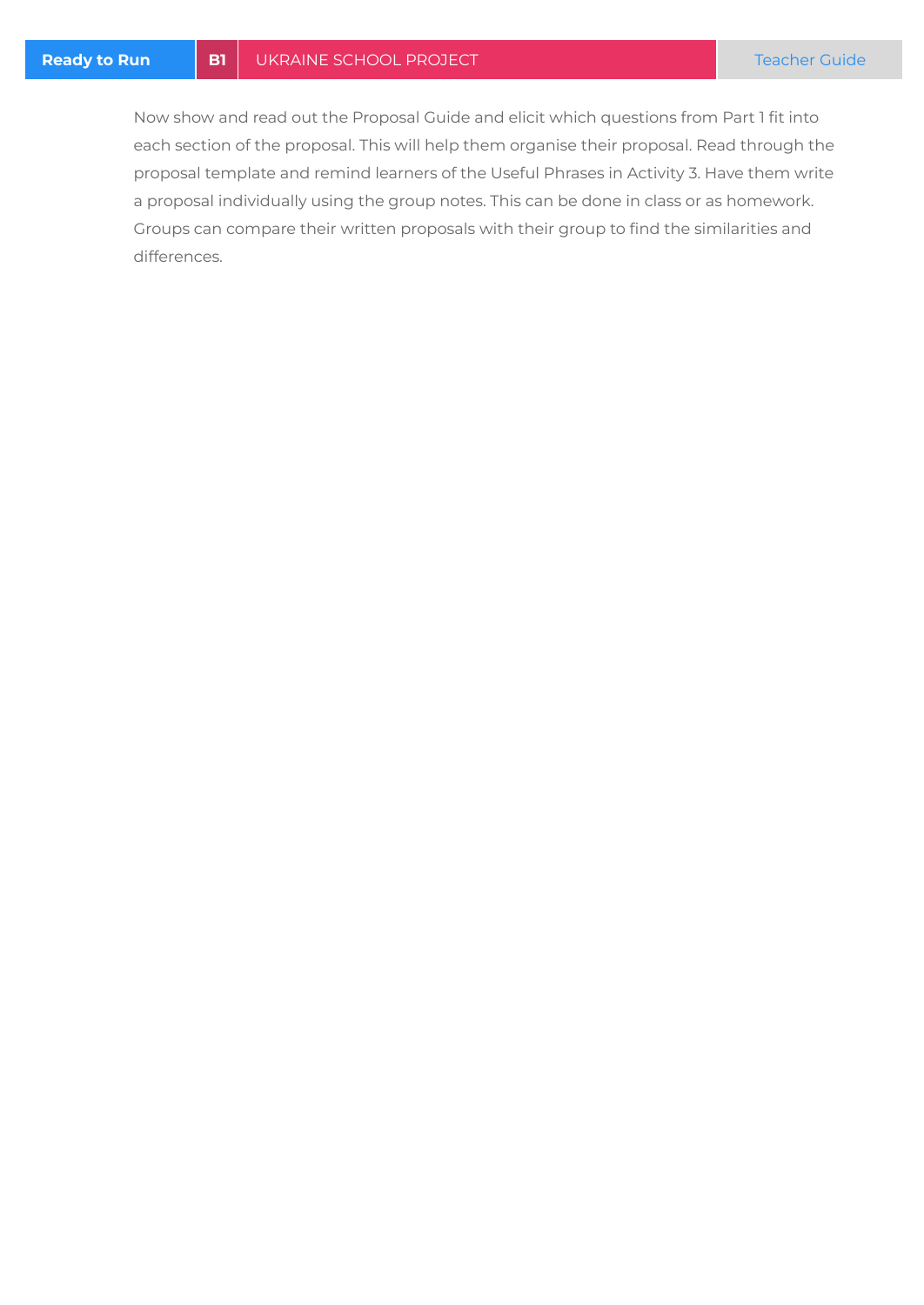Now show and read out the Proposal Guide and elicit which questions from Part 1 fit into each section of the proposal. This will help them organise their proposal. Read through the proposal template and remind learners of the Useful Phrases in Activity 3. Have them write a proposal individually using the group notes. This can be done in class or as homework. Groups can compare their written proposals with their group to find the similarities and differences.